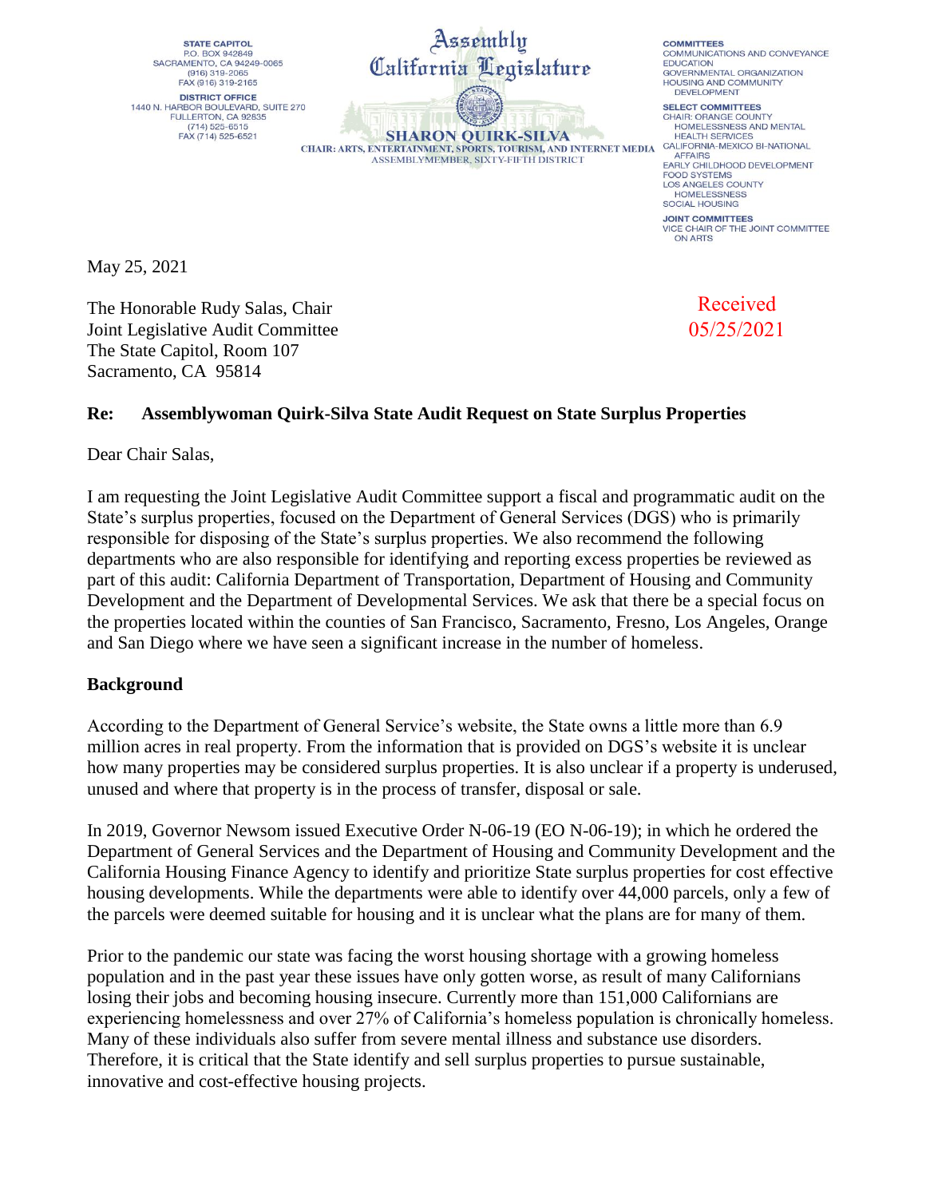**STATE CAPITOL** P.O. BOX 942849 SACRAMENTO, CA 94249-0065  $(916) 319 - 2065$ FAX (916) 319-2165 **DISTRICT OFFICE** 1440 N. HARBOR BOULEVARD, SUITE 270<br>FULLERTON, CA 92835  $(714) 525 - 6515$ FAX (714) 525-6521



**SHARON OUIRK-SILVA** CHAIR: ARTS, ENTERTAINMENT, SPORTS, TOURISM, AND INTERNET MEDIA ASSEMBLYMEMBER, SIXTY-FIFTH DISTRICT

**COMMITTEES** COMMUNICATIONS AND CONVEYANCE **EDUCATION** GOVERNMENTAL ORGANIZATION HOLISING AND COMMUNITY DEVELOPMENT

SELECT COMMITTEES CHAIR: ORANGE COUNTY HOMELESSNESS AND MENTAL **HEALTH SERVICES** CALIFORNIA-MEXICO BI-NATIONAL AFFAIRS<br>EARLY CHILDHOOD DEVELOPMENT FOOD SYSTEMS<br>LOS ANGELES COUNTY **HOMELESSNESS** SOCIAL HOUSING **JOINT COMMITTEES** VICE CHAIR OF THE JOINT COMMITTEE ON ARTS

May 25, 2021

The Honorable Rudy Salas, Chair Joint Legislative Audit Committee The State Capitol, Room 107 Sacramento, CA 95814

Received 05/25/2021

## **Re: Assemblywoman Quirk-Silva State Audit Request on State Surplus Properties**

Dear Chair Salas,

I am requesting the Joint Legislative Audit Committee support a fiscal and programmatic audit on the State's surplus properties, focused on the Department of General Services (DGS) who is primarily responsible for disposing of the State's surplus properties. We also recommend the following departments who are also responsible for identifying and reporting excess properties be reviewed as part of this audit: California Department of Transportation, Department of Housing and Community Development and the Department of Developmental Services. We ask that there be a special focus on the properties located within the counties of San Francisco, Sacramento, Fresno, Los Angeles, Orange and San Diego where we have seen a significant increase in the number of homeless.

## **Background**

According to the Department of General Service's website, the State owns a little more than 6.9 million acres in real property. From the information that is provided on DGS's website it is unclear how many properties may be considered surplus properties. It is also unclear if a property is underused, unused and where that property is in the process of transfer, disposal or sale.

In 2019, Governor Newsom issued Executive Order N-06-19 (EO N-06-19); in which he ordered the Department of General Services and the Department of Housing and Community Development and the California Housing Finance Agency to identify and prioritize State surplus properties for cost effective housing developments. While the departments were able to identify over 44,000 parcels, only a few of the parcels were deemed suitable for housing and it is unclear what the plans are for many of them.

Prior to the pandemic our state was facing the worst housing shortage with a growing homeless population and in the past year these issues have only gotten worse, as result of many Californians losing their jobs and becoming housing insecure. Currently more than 151,000 Californians are experiencing homelessness and over 27% of California's homeless population is chronically homeless. Many of these individuals also suffer from severe mental illness and substance use disorders. Therefore, it is critical that the State identify and sell surplus properties to pursue sustainable, innovative and cost-effective housing projects.